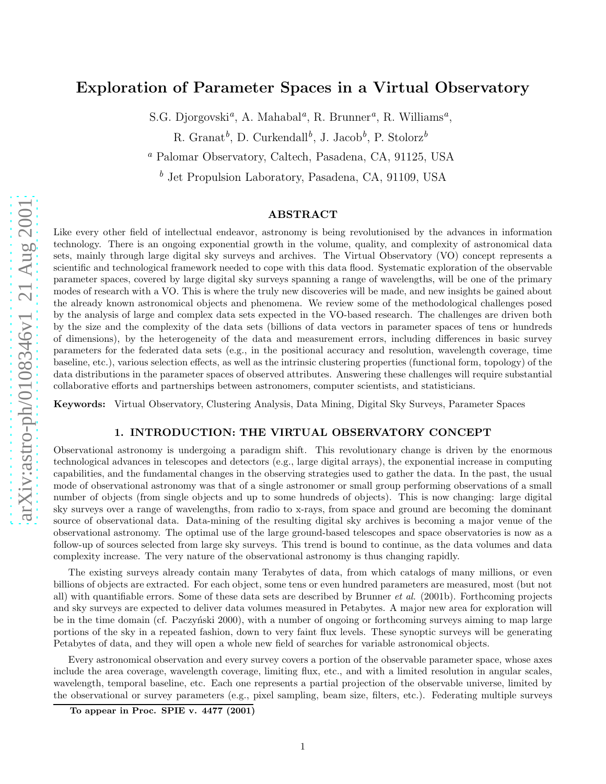# Exploration of Parameter Spaces in a Virtual Observatory

S.G. Djorgovski<sup>a</sup>, A. Mahabal<sup>a</sup>, R. Brunner<sup>a</sup>, R. Williams<sup>a</sup>,

R. Granat<sup>b</sup>, D. Curkendall<sup>b</sup>, J. Jacob<sup>b</sup>, P. Stolorz<sup>b</sup>

<sup>a</sup> Palomar Observatory, Caltech, Pasadena, CA, 91125, USA

 $<sup>b</sup>$  Jet Propulsion Laboratory, Pasadena, CA, 91109, USA</sup>

## ABSTRACT

Like every other field of intellectual endeavor, astronomy is being revolutionised by the advances in information technology. There is an ongoing exponential growth in the volume, quality, and complexity of astronomical data sets, mainly through large digital sky surveys and archives. The Virtual Observatory (VO) concept represents a scientific and technological framework needed to cope with this data flood. Systematic exploration of the observable parameter spaces, covered by large digital sky surveys spanning a range of wavelengths, will be one of the primary modes of research with a VO. This is where the truly new discoveries will be made, and new insights be gained about the already known astronomical objects and phenomena. We review some of the methodological challenges posed by the analysis of large and complex data sets expected in the VO-based research. The challenges are driven both by the size and the complexity of the data sets (billions of data vectors in parameter spaces of tens or hundreds of dimensions), by the heterogeneity of the data and measurement errors, including differences in basic survey parameters for the federated data sets (e.g., in the positional accuracy and resolution, wavelength coverage, time baseline, etc.), various selection effects, as well as the intrinsic clustering properties (functional form, topology) of the data distributions in the parameter spaces of observed attributes. Answering these challenges will require substantial collaborative efforts and partnerships between astronomers, computer scientists, and statisticians.

Keywords: Virtual Observatory, Clustering Analysis, Data Mining, Digital Sky Surveys, Parameter Spaces

#### 1. INTRODUCTION: THE VIRTUAL OBSERVATORY CONCEPT

Observational astronomy is undergoing a paradigm shift. This revolutionary change is driven by the enormous technological advances in telescopes and detectors (e.g., large digital arrays), the exponential increase in computing capabilities, and the fundamental changes in the observing strategies used to gather the data. In the past, the usual mode of observational astronomy was that of a single astronomer or small group performing observations of a small number of objects (from single objects and up to some hundreds of objects). This is now changing: large digital sky surveys over a range of wavelengths, from radio to x-rays, from space and ground are becoming the dominant source of observational data. Data-mining of the resulting digital sky archives is becoming a major venue of the observational astronomy. The optimal use of the large ground-based telescopes and space observatories is now as a follow-up of sources selected from large sky surveys. This trend is bound to continue, as the data volumes and data complexity increase. The very nature of the observational astronomy is thus changing rapidly.

The existing surveys already contain many Terabytes of data, from which catalogs of many millions, or even billions of objects are extracted. For each object, some tens or even hundred parameters are measured, most (but not all) with quantifiable errors. Some of these data sets are described by Brunner et al. (2001b). Forthcoming projects and sky surveys are expected to deliver data volumes measured in Petabytes. A major new area for exploration will be in the time domain (cf. Paczyński 2000), with a number of ongoing or forthcoming surveys aiming to map large portions of the sky in a repeated fashion, down to very faint flux levels. These synoptic surveys will be generating Petabytes of data, and they will open a whole new field of searches for variable astronomical objects.

Every astronomical observation and every survey covers a portion of the observable parameter space, whose axes include the area coverage, wavelength coverage, limiting flux, etc., and with a limited resolution in angular scales, wavelength, temporal baseline, etc. Each one represents a partial projection of the observable universe, limited by the observational or survey parameters (e.g., pixel sampling, beam size, filters, etc.). Federating multiple surveys

To appear in Proc. SPIE v. 4477 (2001)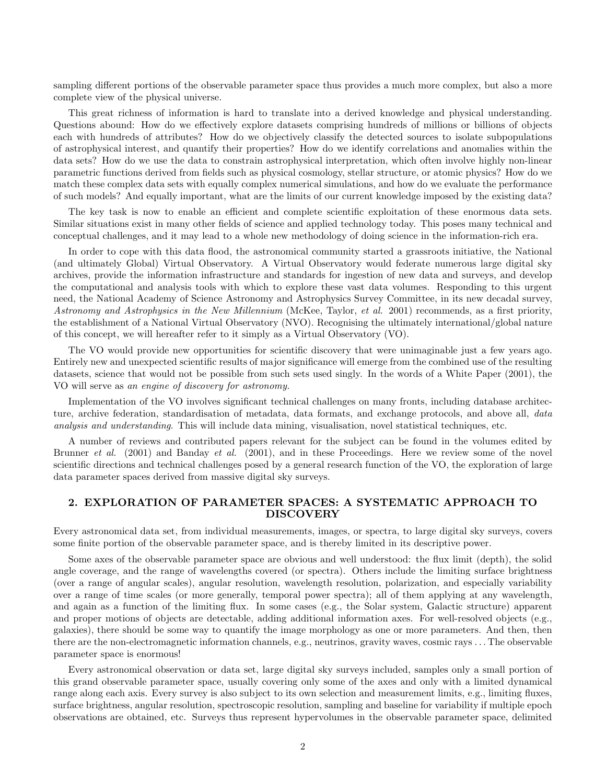sampling different portions of the observable parameter space thus provides a much more complex, but also a more complete view of the physical universe.

This great richness of information is hard to translate into a derived knowledge and physical understanding. Questions abound: How do we effectively explore datasets comprising hundreds of millions or billions of objects each with hundreds of attributes? How do we objectively classify the detected sources to isolate subpopulations of astrophysical interest, and quantify their properties? How do we identify correlations and anomalies within the data sets? How do we use the data to constrain astrophysical interpretation, which often involve highly non-linear parametric functions derived from fields such as physical cosmology, stellar structure, or atomic physics? How do we match these complex data sets with equally complex numerical simulations, and how do we evaluate the performance of such models? And equally important, what are the limits of our current knowledge imposed by the existing data?

The key task is now to enable an efficient and complete scientific exploitation of these enormous data sets. Similar situations exist in many other fields of science and applied technology today. This poses many technical and conceptual challenges, and it may lead to a whole new methodology of doing science in the information-rich era.

In order to cope with this data flood, the astronomical community started a grassroots initiative, the National (and ultimately Global) Virtual Observatory. A Virtual Observatory would federate numerous large digital sky archives, provide the information infrastructure and standards for ingestion of new data and surveys, and develop the computational and analysis tools with which to explore these vast data volumes. Responding to this urgent need, the National Academy of Science Astronomy and Astrophysics Survey Committee, in its new decadal survey, Astronomy and Astrophysics in the New Millennium (McKee, Taylor, et al. 2001) recommends, as a first priority, the establishment of a National Virtual Observatory (NVO). Recognising the ultimately international/global nature of this concept, we will hereafter refer to it simply as a Virtual Observatory (VO).

The VO would provide new opportunities for scientific discovery that were unimaginable just a few years ago. Entirely new and unexpected scientific results of major significance will emerge from the combined use of the resulting datasets, science that would not be possible from such sets used singly. In the words of a White Paper (2001), the VO will serve as an engine of discovery for astronomy.

Implementation of the VO involves significant technical challenges on many fronts, including database architecture, archive federation, standardisation of metadata, data formats, and exchange protocols, and above all, data analysis and understanding. This will include data mining, visualisation, novel statistical techniques, etc.

A number of reviews and contributed papers relevant for the subject can be found in the volumes edited by Brunner et al. (2001) and Banday et al. (2001), and in these Proceedings. Here we review some of the novel scientific directions and technical challenges posed by a general research function of the VO, the exploration of large data parameter spaces derived from massive digital sky surveys.

## 2. EXPLORATION OF PARAMETER SPACES: A SYSTEMATIC APPROACH TO DISCOVERY

Every astronomical data set, from individual measurements, images, or spectra, to large digital sky surveys, covers some finite portion of the observable parameter space, and is thereby limited in its descriptive power.

Some axes of the observable parameter space are obvious and well understood: the flux limit (depth), the solid angle coverage, and the range of wavelengths covered (or spectra). Others include the limiting surface brightness (over a range of angular scales), angular resolution, wavelength resolution, polarization, and especially variability over a range of time scales (or more generally, temporal power spectra); all of them applying at any wavelength, and again as a function of the limiting flux. In some cases (e.g., the Solar system, Galactic structure) apparent and proper motions of objects are detectable, adding additional information axes. For well-resolved objects (e.g., galaxies), there should be some way to quantify the image morphology as one or more parameters. And then, then there are the non-electromagnetic information channels, e.g., neutrinos, gravity waves, cosmic rays . . . The observable parameter space is enormous!

Every astronomical observation or data set, large digital sky surveys included, samples only a small portion of this grand observable parameter space, usually covering only some of the axes and only with a limited dynamical range along each axis. Every survey is also subject to its own selection and measurement limits, e.g., limiting fluxes, surface brightness, angular resolution, spectroscopic resolution, sampling and baseline for variability if multiple epoch observations are obtained, etc. Surveys thus represent hypervolumes in the observable parameter space, delimited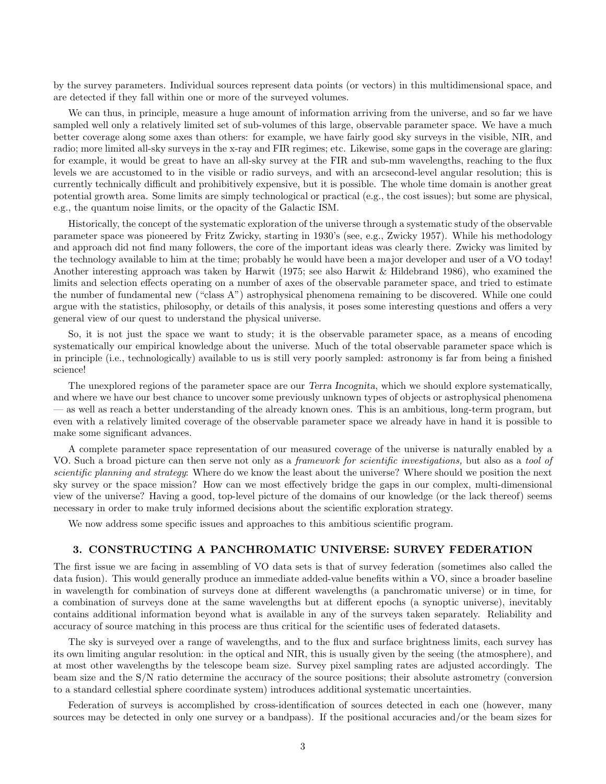by the survey parameters. Individual sources represent data points (or vectors) in this multidimensional space, and are detected if they fall within one or more of the surveyed volumes.

We can thus, in principle, measure a huge amount of information arriving from the universe, and so far we have sampled well only a relatively limited set of sub-volumes of this large, observable parameter space. We have a much better coverage along some axes than others: for example, we have fairly good sky surveys in the visible, NIR, and radio; more limited all-sky surveys in the x-ray and FIR regimes; etc. Likewise, some gaps in the coverage are glaring: for example, it would be great to have an all-sky survey at the FIR and sub-mm wavelengths, reaching to the flux levels we are accustomed to in the visible or radio surveys, and with an arcsecond-level angular resolution; this is currently technically difficult and prohibitively expensive, but it is possible. The whole time domain is another great potential growth area. Some limits are simply technological or practical (e.g., the cost issues); but some are physical, e.g., the quantum noise limits, or the opacity of the Galactic ISM.

Historically, the concept of the systematic exploration of the universe through a systematic study of the observable parameter space was pioneered by Fritz Zwicky, starting in 1930's (see, e.g., Zwicky 1957). While his methodology and approach did not find many followers, the core of the important ideas was clearly there. Zwicky was limited by the technology available to him at the time; probably he would have been a major developer and user of a VO today! Another interesting approach was taken by Harwit (1975; see also Harwit & Hildebrand 1986), who examined the limits and selection effects operating on a number of axes of the observable parameter space, and tried to estimate the number of fundamental new ("class A") astrophysical phenomena remaining to be discovered. While one could argue with the statistics, philosophy, or details of this analysis, it poses some interesting questions and offers a very general view of our quest to understand the physical universe.

So, it is not just the space we want to study; it is the observable parameter space, as a means of encoding systematically our empirical knowledge about the universe. Much of the total observable parameter space which is in principle (i.e., technologically) available to us is still very poorly sampled: astronomy is far from being a finished science!

The unexplored regions of the parameter space are our Terra Incognita, which we should explore systematically, and where we have our best chance to uncover some previously unknown types of objects or astrophysical phenomena — as well as reach a better understanding of the already known ones. This is an ambitious, long-term program, but even with a relatively limited coverage of the observable parameter space we already have in hand it is possible to make some significant advances.

A complete parameter space representation of our measured coverage of the universe is naturally enabled by a VO. Such a broad picture can then serve not only as a *framework for scientific investigations*, but also as a *tool of* scientific planning and strategy: Where do we know the least about the universe? Where should we position the next sky survey or the space mission? How can we most effectively bridge the gaps in our complex, multi-dimensional view of the universe? Having a good, top-level picture of the domains of our knowledge (or the lack thereof) seems necessary in order to make truly informed decisions about the scientific exploration strategy.

We now address some specific issues and approaches to this ambitious scientific program.

#### 3. CONSTRUCTING A PANCHROMATIC UNIVERSE: SURVEY FEDERATION

The first issue we are facing in assembling of VO data sets is that of survey federation (sometimes also called the data fusion). This would generally produce an immediate added-value benefits within a VO, since a broader baseline in wavelength for combination of surveys done at different wavelengths (a panchromatic universe) or in time, for a combination of surveys done at the same wavelengths but at different epochs (a synoptic universe), inevitably contains additional information beyond what is available in any of the surveys taken separately. Reliability and accuracy of source matching in this process are thus critical for the scientific uses of federated datasets.

The sky is surveyed over a range of wavelengths, and to the flux and surface brightness limits, each survey has its own limiting angular resolution: in the optical and NIR, this is usually given by the seeing (the atmosphere), and at most other wavelengths by the telescope beam size. Survey pixel sampling rates are adjusted accordingly. The beam size and the S/N ratio determine the accuracy of the source positions; their absolute astrometry (conversion to a standard cellestial sphere coordinate system) introduces additional systematic uncertainties.

Federation of surveys is accomplished by cross-identification of sources detected in each one (however, many sources may be detected in only one survey or a bandpass). If the positional accuracies and/or the beam sizes for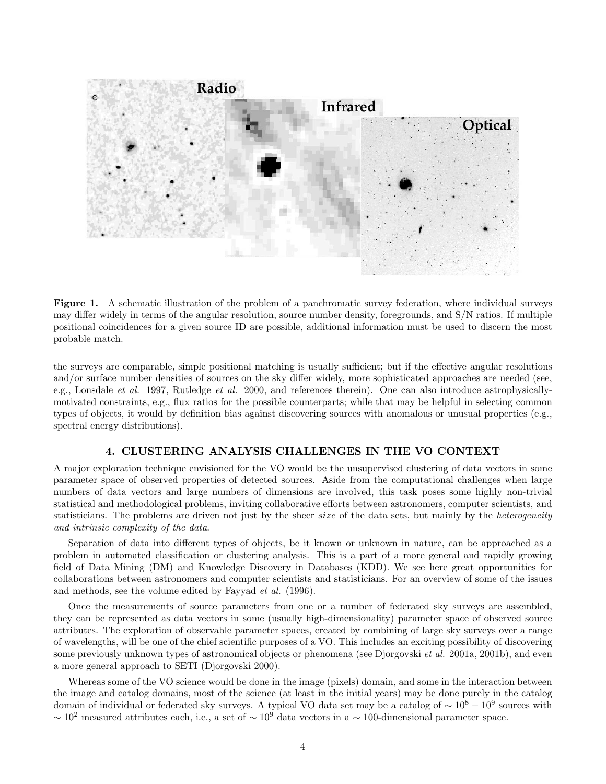

Figure 1. A schematic illustration of the problem of a panchromatic survey federation, where individual surveys may differ widely in terms of the angular resolution, source number density, foregrounds, and S/N ratios. If multiple positional coincidences for a given source ID are possible, additional information must be used to discern the most probable match.

the surveys are comparable, simple positional matching is usually sufficient; but if the effective angular resolutions and/or surface number densities of sources on the sky differ widely, more sophisticated approaches are needed (see, e.g., Lonsdale et al. 1997, Rutledge et al. 2000, and references therein). One can also introduce astrophysicallymotivated constraints, e.g., flux ratios for the possible counterparts; while that may be helpful in selecting common types of objects, it would by definition bias against discovering sources with anomalous or unusual properties (e.g., spectral energy distributions).

### 4. CLUSTERING ANALYSIS CHALLENGES IN THE VO CONTEXT

A major exploration technique envisioned for the VO would be the unsupervised clustering of data vectors in some parameter space of observed properties of detected sources. Aside from the computational challenges when large numbers of data vectors and large numbers of dimensions are involved, this task poses some highly non-trivial statistical and methodological problems, inviting collaborative efforts between astronomers, computer scientists, and statisticians. The problems are driven not just by the sheer size of the data sets, but mainly by the *heterogeneity* and intrinsic complexity of the data.

Separation of data into different types of objects, be it known or unknown in nature, can be approached as a problem in automated classification or clustering analysis. This is a part of a more general and rapidly growing field of Data Mining (DM) and Knowledge Discovery in Databases (KDD). We see here great opportunities for collaborations between astronomers and computer scientists and statisticians. For an overview of some of the issues and methods, see the volume edited by Fayyad et al. (1996).

Once the measurements of source parameters from one or a number of federated sky surveys are assembled, they can be represented as data vectors in some (usually high-dimensionality) parameter space of observed source attributes. The exploration of observable parameter spaces, created by combining of large sky surveys over a range of wavelengths, will be one of the chief scientific purposes of a VO. This includes an exciting possibility of discovering some previously unknown types of astronomical objects or phenomena (see Djorgovski et al. 2001a, 2001b), and even a more general approach to SETI (Djorgovski 2000).

Whereas some of the VO science would be done in the image (pixels) domain, and some in the interaction between the image and catalog domains, most of the science (at least in the initial years) may be done purely in the catalog domain of individual or federated sky surveys. A typical VO data set may be a catalog of  $\sim 10^8 - 10^9$  sources with  $\sim 10^2$  measured attributes each, i.e., a set of  $\sim 10^9$  data vectors in a  $\sim 100$ -dimensional parameter space.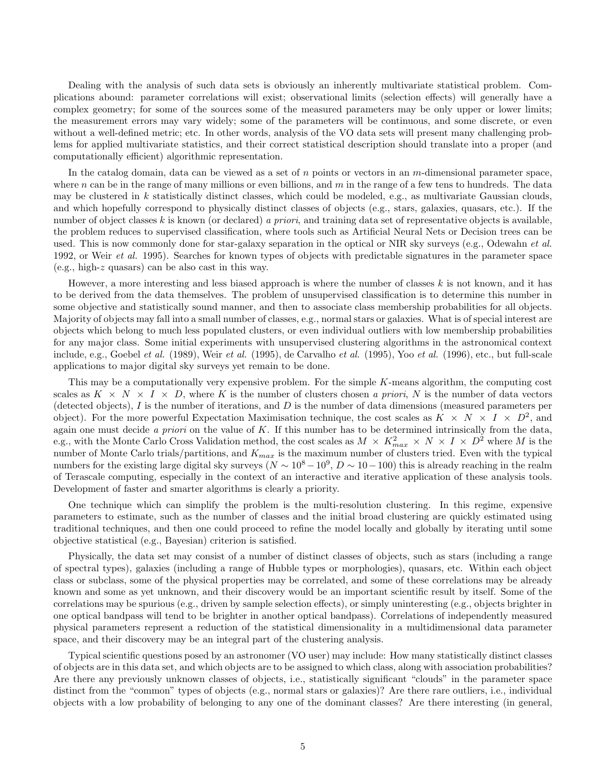Dealing with the analysis of such data sets is obviously an inherently multivariate statistical problem. Complications abound: parameter correlations will exist; observational limits (selection effects) will generally have a complex geometry; for some of the sources some of the measured parameters may be only upper or lower limits; the measurement errors may vary widely; some of the parameters will be continuous, and some discrete, or even without a well-defined metric; etc. In other words, analysis of the VO data sets will present many challenging problems for applied multivariate statistics, and their correct statistical description should translate into a proper (and computationally efficient) algorithmic representation.

In the catalog domain, data can be viewed as a set of  $n$  points or vectors in an  $m$ -dimensional parameter space, where  $n$  can be in the range of many millions or even billions, and  $m$  in the range of a few tens to hundreds. The data may be clustered in  $k$  statistically distinct classes, which could be modeled, e.g., as multivariate Gaussian clouds, and which hopefully correspond to physically distinct classes of objects (e.g., stars, galaxies, quasars, etc.). If the number of object classes k is known (or declared) a priori, and training data set of representative objects is available, the problem reduces to supervised classification, where tools such as Artificial Neural Nets or Decision trees can be used. This is now commonly done for star-galaxy separation in the optical or NIR sky surveys (e.g., Odewahn et al. 1992, or Weir *et al.* 1995). Searches for known types of objects with predictable signatures in the parameter space (e.g., high-z quasars) can be also cast in this way.

However, a more interesting and less biased approach is where the number of classes  $k$  is not known, and it has to be derived from the data themselves. The problem of unsupervised classification is to determine this number in some objective and statistically sound manner, and then to associate class membership probabilities for all objects. Majority of objects may fall into a small number of classes, e.g., normal stars or galaxies. What is of special interest are objects which belong to much less populated clusters, or even individual outliers with low membership probabilities for any major class. Some initial experiments with unsupervised clustering algorithms in the astronomical context include, e.g., Goebel et al. (1989), Weir et al. (1995), de Carvalho et al. (1995), Yoo et al. (1996), etc., but full-scale applications to major digital sky surveys yet remain to be done.

This may be a computationally very expensive problem. For the simple  $K$ -means algorithm, the computing cost scales as  $K \times N \times I \times D$ , where K is the number of clusters chosen a priori, N is the number of data vectors (detected objects),  $I$  is the number of iterations, and  $D$  is the number of data dimensions (measured parameters per object). For the more powerful Expectation Maximisation technique, the cost scales as  $K \times N \times I \times D^2$ , and again one must decide  $a$  priori on the value of  $K$ . If this number has to be determined intrinsically from the data, e.g., with the Monte Carlo Cross Validation method, the cost scales as  $M \times K_{max}^2 \times N \times I \times D^2$  where M is the number of Monte Carlo trials/partitions, and  $K_{max}$  is the maximum number of clusters tried. Even with the typical numbers for the existing large digital sky surveys  $(N \sim 10^8 - 10^9, D \sim 10 - 100)$  this is already reaching in the realm of Terascale computing, especially in the context of an interactive and iterative application of these analysis tools. Development of faster and smarter algorithms is clearly a priority.

One technique which can simplify the problem is the multi-resolution clustering. In this regime, expensive parameters to estimate, such as the number of classes and the initial broad clustering are quickly estimated using traditional techniques, and then one could proceed to refine the model locally and globally by iterating until some objective statistical (e.g., Bayesian) criterion is satisfied.

Physically, the data set may consist of a number of distinct classes of objects, such as stars (including a range of spectral types), galaxies (including a range of Hubble types or morphologies), quasars, etc. Within each object class or subclass, some of the physical properties may be correlated, and some of these correlations may be already known and some as yet unknown, and their discovery would be an important scientific result by itself. Some of the correlations may be spurious (e.g., driven by sample selection effects), or simply uninteresting (e.g., objects brighter in one optical bandpass will tend to be brighter in another optical bandpass). Correlations of independently measured physical parameters represent a reduction of the statistical dimensionality in a multidimensional data parameter space, and their discovery may be an integral part of the clustering analysis.

Typical scientific questions posed by an astronomer (VO user) may include: How many statistically distinct classes of objects are in this data set, and which objects are to be assigned to which class, along with association probabilities? Are there any previously unknown classes of objects, i.e., statistically significant "clouds" in the parameter space distinct from the "common" types of objects (e.g., normal stars or galaxies)? Are there rare outliers, i.e., individual objects with a low probability of belonging to any one of the dominant classes? Are there interesting (in general,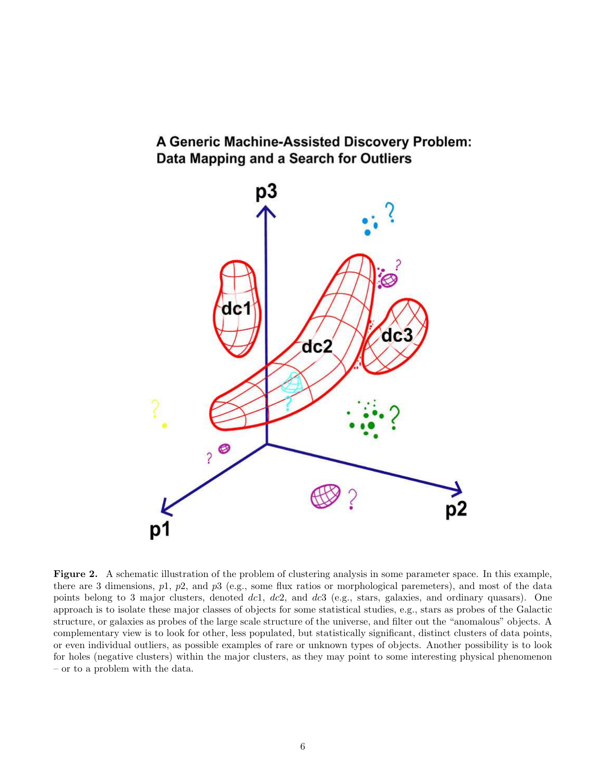A Generic Machine-Assisted Discovery Problem: Data Mapping and a Search for Outliers



Figure 2. A schematic illustration of the problem of clustering analysis in some parameter space. In this example, there are 3 dimensions,  $p1$ ,  $p2$ , and  $p3$  (e.g., some flux ratios or morphological paremeters), and most of the data points belong to 3 major clusters, denoted  $dc1$ ,  $dc2$ , and  $dc3$  (e.g., stars, galaxies, and ordinary quasars). One approach is to isolate these major classes of objects for some statistical studies, e.g., stars as probes of the Galactic structure, or galaxies as probes of the large scale structure of the universe, and filter out the "anomalous" objects. A complementary view is to look for other, less populated, but statistically significant, distinct clusters of data points, or even individual outliers, as possible examples of rare or unknown types of objects. Another possibility is to look for holes (negative clusters) within the major clusters, as they may point to some interesting physical phenomenon – or to a problem with the data.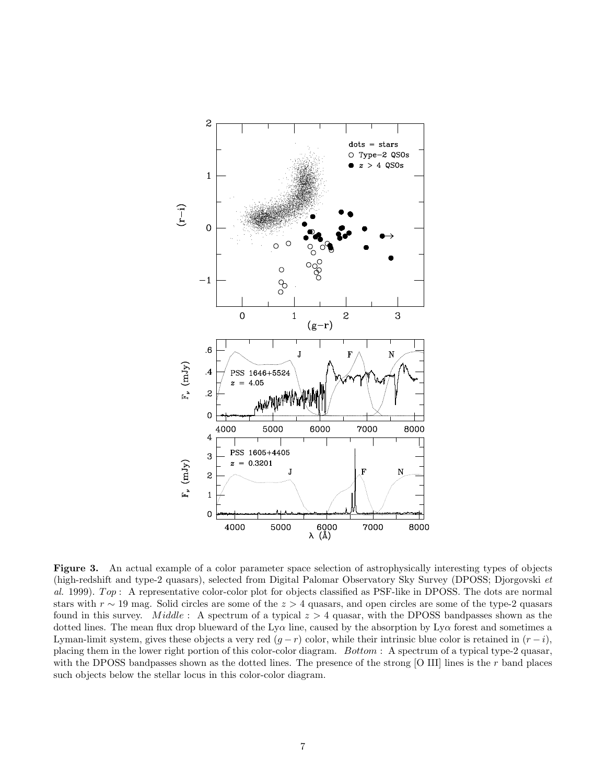

Figure 3. An actual example of a color parameter space selection of astrophysically interesting types of objects (high-redshift and type-2 quasars), selected from Digital Palomar Observatory Sky Survey (DPOSS; Djorgovski et al. 1999).  $Top: A$  representative color-color plot for objects classified as PSF-like in DPOSS. The dots are normal stars with  $r \sim 19$  mag. Solid circles are some of the  $z > 4$  quasars, and open circles are some of the type-2 quasars found in this survey. Middle : A spectrum of a typical  $z > 4$  quasar, with the DPOSS bandpasses shown as the dotted lines. The mean flux drop blueward of the Ly $\alpha$  line, caused by the absorption by Ly $\alpha$  forest and sometimes a Lyman-limit system, gives these objects a very red  $(g - r)$  color, while their intrinsic blue color is retained in  $(r - i)$ , placing them in the lower right portion of this color-color diagram. Bottom : A spectrum of a typical type-2 quasar, with the DPOSS bandpasses shown as the dotted lines. The presence of the strong  $[O III]$  lines is the r band places such objects below the stellar locus in this color-color diagram.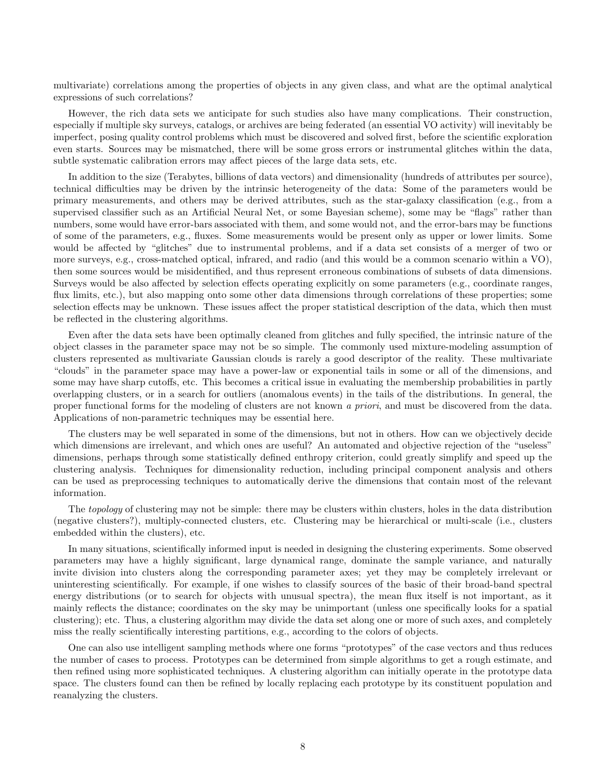multivariate) correlations among the properties of objects in any given class, and what are the optimal analytical expressions of such correlations?

However, the rich data sets we anticipate for such studies also have many complications. Their construction, especially if multiple sky surveys, catalogs, or archives are being federated (an essential VO activity) will inevitably be imperfect, posing quality control problems which must be discovered and solved first, before the scientific exploration even starts. Sources may be mismatched, there will be some gross errors or instrumental glitches within the data, subtle systematic calibration errors may affect pieces of the large data sets, etc.

In addition to the size (Terabytes, billions of data vectors) and dimensionality (hundreds of attributes per source), technical difficulties may be driven by the intrinsic heterogeneity of the data: Some of the parameters would be primary measurements, and others may be derived attributes, such as the star-galaxy classification (e.g., from a supervised classifier such as an Artificial Neural Net, or some Bayesian scheme), some may be "flags" rather than numbers, some would have error-bars associated with them, and some would not, and the error-bars may be functions of some of the parameters, e.g., fluxes. Some measurements would be present only as upper or lower limits. Some would be affected by "glitches" due to instrumental problems, and if a data set consists of a merger of two or more surveys, e.g., cross-matched optical, infrared, and radio (and this would be a common scenario within a VO), then some sources would be misidentified, and thus represent erroneous combinations of subsets of data dimensions. Surveys would be also affected by selection effects operating explicitly on some parameters (e.g., coordinate ranges, flux limits, etc.), but also mapping onto some other data dimensions through correlations of these properties; some selection effects may be unknown. These issues affect the proper statistical description of the data, which then must be reflected in the clustering algorithms.

Even after the data sets have been optimally cleaned from glitches and fully specified, the intrinsic nature of the object classes in the parameter space may not be so simple. The commonly used mixture-modeling assumption of clusters represented as multivariate Gaussian clouds is rarely a good descriptor of the reality. These multivariate "clouds" in the parameter space may have a power-law or exponential tails in some or all of the dimensions, and some may have sharp cutoffs, etc. This becomes a critical issue in evaluating the membership probabilities in partly overlapping clusters, or in a search for outliers (anomalous events) in the tails of the distributions. In general, the proper functional forms for the modeling of clusters are not known a priori, and must be discovered from the data. Applications of non-parametric techniques may be essential here.

The clusters may be well separated in some of the dimensions, but not in others. How can we objectively decide which dimensions are irrelevant, and which ones are useful? An automated and objective rejection of the "useless" dimensions, perhaps through some statistically defined enthropy criterion, could greatly simplify and speed up the clustering analysis. Techniques for dimensionality reduction, including principal component analysis and others can be used as preprocessing techniques to automatically derive the dimensions that contain most of the relevant information.

The *topology* of clustering may not be simple: there may be clusters within clusters, holes in the data distribution (negative clusters?), multiply-connected clusters, etc. Clustering may be hierarchical or multi-scale (i.e., clusters embedded within the clusters), etc.

In many situations, scientifically informed input is needed in designing the clustering experiments. Some observed parameters may have a highly significant, large dynamical range, dominate the sample variance, and naturally invite division into clusters along the corresponding parameter axes; yet they may be completely irrelevant or uninteresting scientifically. For example, if one wishes to classify sources of the basic of their broad-band spectral energy distributions (or to search for objects with unusual spectra), the mean flux itself is not important, as it mainly reflects the distance; coordinates on the sky may be unimportant (unless one specifically looks for a spatial clustering); etc. Thus, a clustering algorithm may divide the data set along one or more of such axes, and completely miss the really scientifically interesting partitions, e.g., according to the colors of objects.

One can also use intelligent sampling methods where one forms "prototypes" of the case vectors and thus reduces the number of cases to process. Prototypes can be determined from simple algorithms to get a rough estimate, and then refined using more sophisticated techniques. A clustering algorithm can initially operate in the prototype data space. The clusters found can then be refined by locally replacing each prototype by its constituent population and reanalyzing the clusters.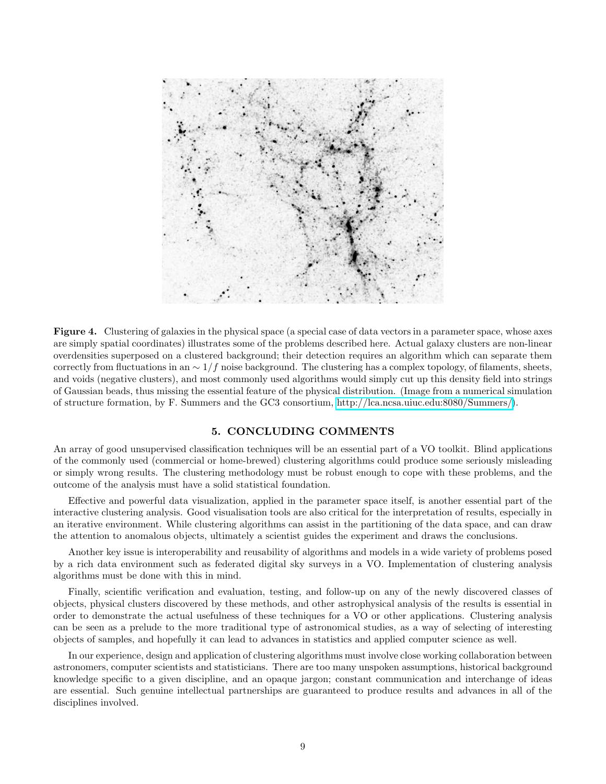

Figure 4. Clustering of galaxies in the physical space (a special case of data vectors in a parameter space, whose axes are simply spatial coordinates) illustrates some of the problems described here. Actual galaxy clusters are non-linear overdensities superposed on a clustered background; their detection requires an algorithm which can separate them correctly from fluctuations in an  $\sim 1/f$  noise background. The clustering has a complex topology, of filaments, sheets, and voids (negative clusters), and most commonly used algorithms would simply cut up this density field into strings of Gaussian beads, thus missing the essential feature of the physical distribution. (Image from a numerical simulation of structure formation, by F. Summers and the GC3 consortium, [http://lca.ncsa.uiuc.edu:8080/Summers/\)](http://lca.ncsa.uiuc.edu:8080/Summers/).

#### 5. CONCLUDING COMMENTS

An array of good unsupervised classification techniques will be an essential part of a VO toolkit. Blind applications of the commonly used (commercial or home-brewed) clustering algorithms could produce some seriously misleading or simply wrong results. The clustering methodology must be robust enough to cope with these problems, and the outcome of the analysis must have a solid statistical foundation.

Effective and powerful data visualization, applied in the parameter space itself, is another essential part of the interactive clustering analysis. Good visualisation tools are also critical for the interpretation of results, especially in an iterative environment. While clustering algorithms can assist in the partitioning of the data space, and can draw the attention to anomalous objects, ultimately a scientist guides the experiment and draws the conclusions.

Another key issue is interoperability and reusability of algorithms and models in a wide variety of problems posed by a rich data environment such as federated digital sky surveys in a VO. Implementation of clustering analysis algorithms must be done with this in mind.

Finally, scientific verification and evaluation, testing, and follow-up on any of the newly discovered classes of objects, physical clusters discovered by these methods, and other astrophysical analysis of the results is essential in order to demonstrate the actual usefulness of these techniques for a VO or other applications. Clustering analysis can be seen as a prelude to the more traditional type of astronomical studies, as a way of selecting of interesting objects of samples, and hopefully it can lead to advances in statistics and applied computer science as well.

In our experience, design and application of clustering algorithms must involve close working collaboration between astronomers, computer scientists and statisticians. There are too many unspoken assumptions, historical background knowledge specific to a given discipline, and an opaque jargon; constant communication and interchange of ideas are essential. Such genuine intellectual partnerships are guaranteed to produce results and advances in all of the disciplines involved.